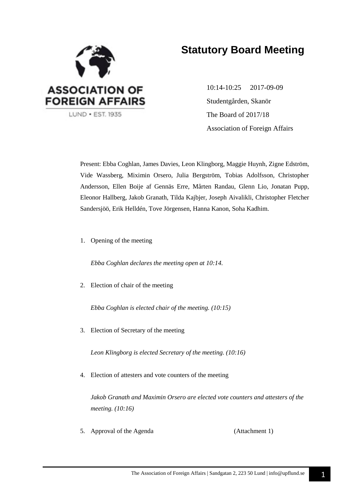

## **Statutory Board Meeting**

10:14-10:25 2017-09-09 Studentgården, Skanör The Board of 2017/18 Association of Foreign Affairs

Present: Ebba Coghlan, James Davies, Leon Klingborg, Maggie Huynh, Zigne Edström, Vide Wassberg, Miximin Orsero, Julia Bergström, Tobias Adolfsson, Christopher Andersson, Ellen Boije af Gennäs Erre, Mårten Randau, Glenn Lio, Jonatan Pupp, Eleonor Hallberg, Jakob Granath, Tilda Kajbjer, Joseph Aivalikli, Christopher Fletcher Sandersjöö, Erik Helldén, Tove Jörgensen, Hanna Kanon, Soha Kadhim.

1. Opening of the meeting

*Ebba Coghlan declares the meeting open at 10:14.*

2. Election of chair of the meeting

*Ebba Coghlan is elected chair of the meeting. (10:15)*

3. Election of Secretary of the meeting

*Leon Klingborg is elected Secretary of the meeting. (10:16)*

4. Election of attesters and vote counters of the meeting

*Jakob Granath and Maximin Orsero are elected vote counters and attesters of the meeting. (10:16)*

5. Approval of the Agenda (Attachment 1)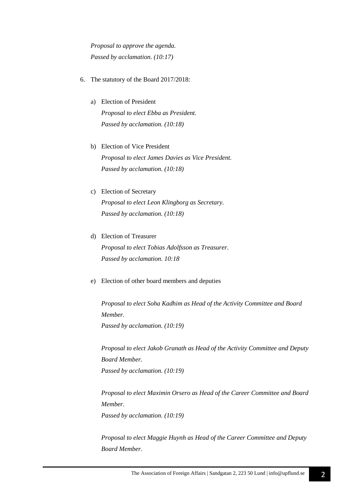*Proposal to approve the agenda. Passed by acclamation. (10:17)*

- 6. The statutory of the Board 2017/2018:
	- a) Election of President *Proposal to elect Ebba as President. Passed by acclamation. (10:18)*
	- b) Election of Vice President *Proposal to elect James Davies as Vice President. Passed by acclamation. (10:18)*
	- c) Election of Secretary

*Proposal to elect Leon Klingborg as Secretary. Passed by acclamation. (10:18)*

- d) Election of Treasurer *Proposal to elect Tobias Adolfsson as Treasurer. Passed by acclamation. 10:18*
- e) Election of other board members and deputies

*Proposal to elect Soha Kadhim as Head of the Activity Committee and Board Member. Passed by acclamation. (10:19)*

*Proposal to elect Jakob Granath as Head of the Activity Committee and Deputy Board Member. Passed by acclamation. (10:19)*

*Proposal to elect Maximin Orsero as Head of the Career Committee and Board Member. Passed by acclamation. (10:19)*

*Proposal to elect Maggie Huynh as Head of the Career Committee and Deputy Board Member.*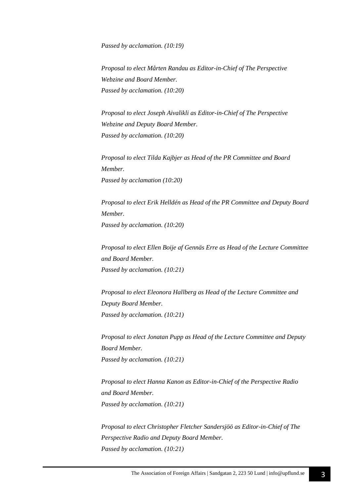*Passed by acclamation. (10:19)*

*Proposal to elect Mårten Randau as Editor-in-Chief of The Perspective Webzine and Board Member. Passed by acclamation. (10:20)*

*Proposal to elect Joseph Aivalikli as Editor-in-Chief of The Perspective Webzine and Deputy Board Member. Passed by acclamation. (10:20)*

*Proposal to elect Tilda Kajbjer as Head of the PR Committee and Board Member. Passed by acclamation (10:20)*

*Proposal to elect Erik Helldén as Head of the PR Committee and Deputy Board Member. Passed by acclamation. (10:20)*

*Proposal to elect Ellen Boije af Gennäs Erre as Head of the Lecture Committee and Board Member. Passed by acclamation. (10:21)*

*Proposal to elect Eleonora Hallberg as Head of the Lecture Committee and Deputy Board Member. Passed by acclamation. (10:21)*

*Proposal to elect Jonatan Pupp as Head of the Lecture Committee and Deputy Board Member. Passed by acclamation. (10:21)*

*Proposal to elect Hanna Kanon as Editor-in-Chief of the Perspective Radio and Board Member. Passed by acclamation. (10:21)*

*Proposal to elect Christopher Fletcher Sandersjöö as Editor-in-Chief of The Perspective Radio and Deputy Board Member. Passed by acclamation. (10:21)*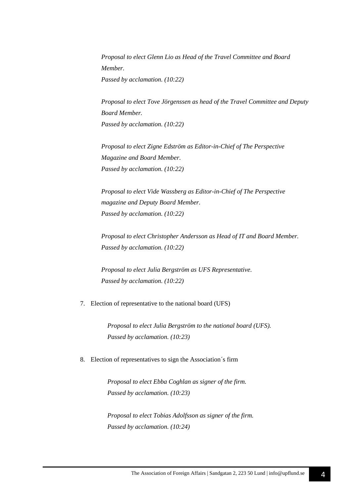*Proposal to elect Glenn Lio as Head of the Travel Committee and Board Member. Passed by acclamation. (10:22)*

*Proposal to elect Tove Jörgenssen as head of the Travel Committee and Deputy Board Member. Passed by acclamation. (10:22)*

*Proposal to elect Zigne Edström as Editor-in-Chief of The Perspective Magazine and Board Member. Passed by acclamation. (10:22)*

*Proposal to elect Vide Wassberg as Editor-in-Chief of The Perspective magazine and Deputy Board Member. Passed by acclamation. (10:22)*

*Proposal to elect Christopher Andersson as Head of IT and Board Member. Passed by acclamation. (10:22)*

*Proposal to elect Julia Bergström as UFS Representative. Passed by acclamation. (10:22)*

#### 7. Election of representative to the national board (UFS)

*Proposal to elect Julia Bergström to the national board (UFS). Passed by acclamation. (10:23)*

#### 8. Election of representatives to sign the Association´s firm

*Proposal to elect Ebba Coghlan as signer of the firm. Passed by acclamation. (10:23)*

*Proposal to elect Tobias Adolfsson as signer of the firm. Passed by acclamation. (10:24)*

4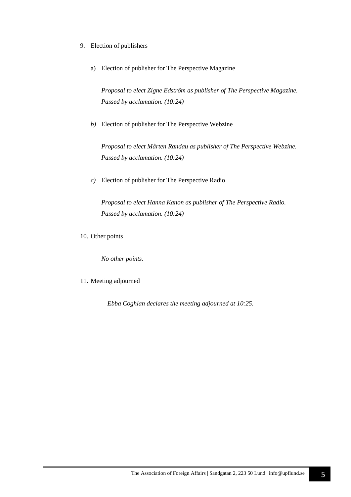- 9. Election of publishers
	- a) Election of publisher for The Perspective Magazine

*Proposal to elect Zigne Edström as publisher of The Perspective Magazine. Passed by acclamation. (10:24)*

*b)* Election of publisher for The Perspective Webzine

*Proposal to elect Mårten Randau as publisher of The Perspective Webzine. Passed by acclamation. (10:24)*

*c)* Election of publisher for The Perspective Radio

*Proposal to elect Hanna Kanon as publisher of The Perspective Radio. Passed by acclamation. (10:24)*

10. Other points

*No other points.*

11. Meeting adjourned

*Ebba Coghlan declares the meeting adjourned at 10:25.*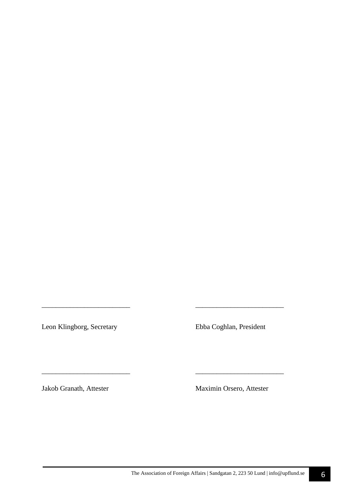Leon Klingborg, Secretary Ebba Coghlan, President

*\_\_\_\_\_\_\_\_\_\_\_\_\_\_\_\_\_\_\_\_\_\_\_\_\_ \_\_\_\_\_\_\_\_\_\_\_\_\_\_\_\_\_\_\_\_\_\_\_\_\_* 

\_\_\_\_\_\_\_\_\_\_\_\_\_\_\_\_\_\_\_\_\_\_\_\_\_ \_\_\_\_\_\_\_\_\_\_\_\_\_\_\_\_\_\_\_\_\_\_\_\_\_

Jakob Granath, Attester Maximin Orsero, Attester

6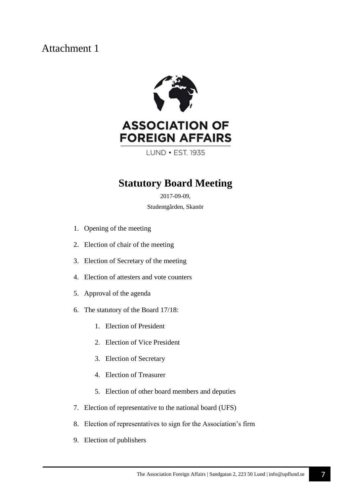### Attachment 1



# **ASSOCIATION OF FOREIGN AFFAIRS**

LUND . EST. 1935

### **Statutory Board Meeting**

2017-09-09, Studentgården, Skanör

- 1. Opening of the meeting
- 2. Election of chair of the meeting
- 3. Election of Secretary of the meeting
- 4. Election of attesters and vote counters
- 5. Approval of the agenda
- 6. The statutory of the Board 17/18:
	- 1. Election of President
	- 2. Election of Vice President
	- 3. Election of Secretary
	- 4. Election of Treasurer
	- 5. Election of other board members and deputies
- 7. Election of representative to the national board (UFS)
- 8. Election of representatives to sign for the Association's firm
- 9. Election of publishers